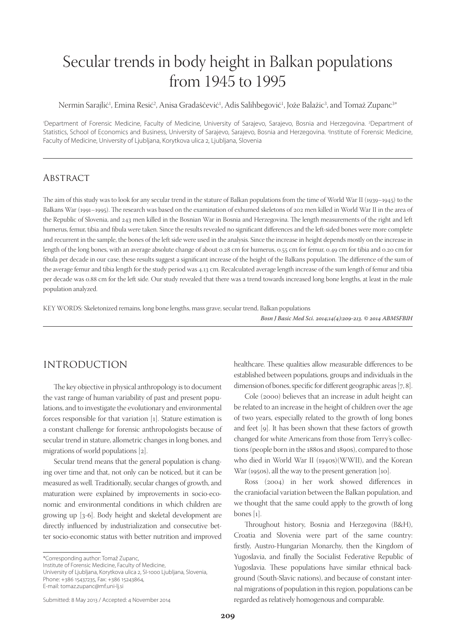# Secular trends in body height in Balkan populations from 1945 to 1995

Nermin Sarajlić<sup>1</sup>, Emina Resić<sup>2</sup>, Anisa Gradaščević<sup>1</sup>, Adis Salihbegović<sup>1</sup>, Jože Balažic<sup>3</sup>, and Tomaž Zupanc<sup>3\*</sup>

'Department of Forensic Medicine, Faculty of Medicine, University of Sarajevo, Sarajevo, Bosnia and Herzegovina. <sup>2</sup>Department of Statistics, School of Economics and Business, University of Sarajevo, Sarajevo, Bosnia and Herzegovina. <sup>3</sup>Institute of Forensic Medicine, Faculty of Medicine, University of Ljubljana, Korytkova ulica 2, Ljubljana, Slovenia

#### **ABSTRACT**

The aim of this study was to look for any secular trend in the stature of Balkan populations from the time of World War II (1939–1945) to the Balkans War (1991–1995). The research was based on the examination of exhumed skeletons of 202 men killed in World War II in the area of the Republic of Slovenia, and 243 men killed in the Bosnian War in Bosnia and Herzegovina. The length measurements of the right and left humerus, femur, tibia and fibula were taken. Since the results revealed no significant differences and the left-sided bones were more complete and recurrent in the sample, the bones of the left side were used in the analysis. Since the increase in height depends mostly on the increase in length of the long bones, with an average absolute change of about 0.28 cm for humerus, 0.55 cm for femur, 0.49 cm for tibia and 0.20 cm for fibula per decade in our case, these results suggest a significant increase of the height of the Balkans population. The difference of the sum of the average femur and tibia length for the study period was 4.13 cm. Recalculated average length increase of the sum length of femur and tibia per decade was 0.88 cm for the left side. Our study revealed that there was a trend towards increased long bone lengths, at least in the male population analyzed.

KEY WORDS: Skeletonized remains, long bone lengths, mass grave, secular trend, Balkan populations

Bosn J Basic Med Sci. 2014;14(4):209-213. © 2014 ABMSFBIH

# INTRODUCTION

The key objective in physical anthropology is to document the vast range of human variability of past and present populations, and to investigate the evolutionary and environmental forces responsible for that variation [1]. Stature estimation is a constant challenge for forensic anthropologists because of secular trend in stature, allometric changes in long bones, and migrations of world populations [2].

Secular trend means that the general population is changing over time and that, not only can be noticed, but it can be measured as well. Traditionally, secular changes of growth, and maturation were explained by improvements in socio-economic and environmental conditions in which children are growing up [3-6]. Body height and skeletal development are directly influenced by industrialization and consecutive better socio-economic status with better nutrition and improved

Institute of Forensic Medicine, Faculty of Medicine,

University of Ljubljana, Korytkova ulica 2, SI-1000 Ljubljana, Slovenia, Phone: +386 15437235, Fax: +386 15243864,

E-mail: tomaz.zupanc@mf.uni-lj.si

healthcare. These qualities allow measurable differences to be established between populations, groups and individuals in the dimension of bones, specific for different geographic areas  $[7, 8]$ .

Cole (2000) believes that an increase in adult height can be related to an increase in the height of children over the age of two years, especially related to the growth of long bones and feet [9]. It has been shown that these factors of growth changed for white Americans from those from Terry's collections (people born in the 1880s and 1890s), compared to those who died in World War II (1940s)(WWII), and the Korean War (1950s), all the way to the present generation [10].

Ross (2004) in her work showed differences in the craniofacial variation between the Balkan population, and we thought that the same could apply to the growth of long bones [1].

Throughout history, Bosnia and Herzegovina (B&H), Croatia and Slovenia were part of the same country: firstly, Austro-Hungarian Monarchy, then the Kingdom of Yugoslavia, and finally the Socialist Federative Republic of Yugoslavia. These populations have similar ethnical background (South-Slavic nations), and because of constant internal migrations of population in this region, populations can be regarded as relatively homogenous and comparable.

<sup>\*</sup>Corresponding author: Tomaž Zupanc,

Submitted: 8 May 2013 / Accepted: 4 November 2014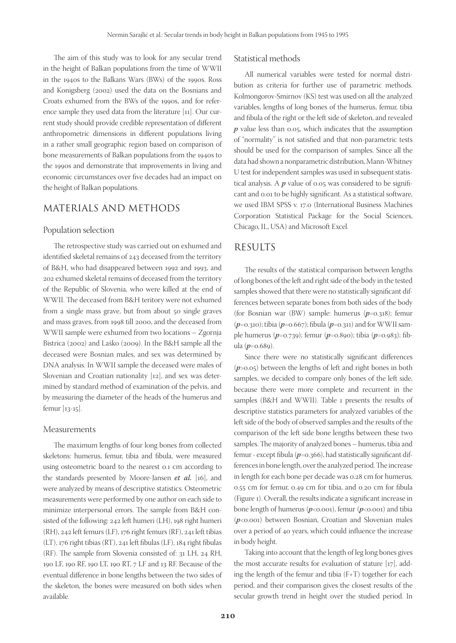The aim of this study was to look for any secular trend in the height of Balkan populations from the time of WWII in the 1940s to the Balkans Wars (BWs) of the 1990s. Ross and Konigsberg (2002) used the data on the Bosnians and Croats exhumed from the BWs of the 1990s, and for reference sample they used data from the literature [11]. Our current study should provide credible representation of different anthropometric dimensions in different populations living in a rather small geographic region based on comparison of bone measurements of Balkan populations from the 1940s to the 1990s and demonstrate that improvements in living and economic circumstances over five decades had an impact on the height of Balkan populations.

## MATERIALS AND METHODS

#### Population selection

The retrospective study was carried out on exhumed and identified skeletal remains of 243 deceased from the territory of B&H, who had disappeared between 1992 and 1993, and 202 exhumed skeletal remains of deceased from the territory of the Republic of Slovenia, who were killed at the end of WWII. The deceased from B&H teritory were not exhumed from a single mass grave, but from about 50 single graves and mass graves, from 1998 till 2000, and the deceased from WWII sample were exhumed from two locations – Zgornja Bistrica (2002) and Laško (2009). In the B&H sample all the deceased were Bosnian males, and sex was determined by DNA analysis. In WWII sample the deceased were males of Slovenian and Croatian nationality [12], and sex was determined by standard method of examination of the pelvis, and by measuring the diameter of the heads of the humerus and femur [13-15].

#### Measurements

The maximum lengths of four long bones from collected skeletons: humerus, femur, tibia and fibula, were measured using osteometric board to the nearest 0.1 cm according to the standards presented by Moore-Jansen et al. [16], and were analyzed by means of descriptive statistics. Osteometric measurements were performed by one author on each side to minimize interpersonal errors. The sample from B&H consisted of the following: 242 left humeri (LH), 198 right humeri (RH), 242 left femurs (LF), 176 right femurs (RF), 241 left tibias (LT), 176 right tibias (RT), 241 left fibulas (LF), 184 right fibulas (RF). The sample from Slovenia consisted of:  $31$  LH,  $24$  RH, 190 LF, 190 RF, 190 LT, 190 RT, 7 LF and 13 RF. Because of the eventual difference in bone lengths between the two sides of the skeleton, the bones were measured on both sides when available.

#### Statistical methods

All numerical variables were tested for normal distribution as criteria for further use of parametric methods. Kolmongorov-Smirnov (KS) test was used on all the analyzed variables, lengths of long bones of the humerus, femur, tibia and fibula of the right or the left side of skeleton, and revealed  $p$  value less than 0.05, which indicates that the assumption of "normality" is not satisfied and that non-parametric tests should be used for the comparison of samples. Since all the data had shown a nonparametric distribution, Mann-Whitney U test for independent samples was used in subsequent statistical analysis. A  $p$  value of 0.05 was considered to be significant and 0.01 to be highly significant. As a statistical software, we used IBM SPSS v. 17.0 (International Business Machines Corporation Statistical Package for the Social Sciences, Chicago, IL, USA) and Microsoft Excel.

## RESULTS

The results of the statistical comparison between lengths of long bones of the left and right side of the body in the tested samples showed that there were no statistically significant differences between separate bones from both sides of the body (for Bosnian war (BW) sample: humerus  $(p=0.318)$ ; femur  $(p=0.310)$ ; tibia  $(p=0.667)$ ; fibula  $(p=0.311)$  and for WWII sample humerus ( $p=0.739$ ); femur ( $p=0.890$ ); tibia ( $p=0.983$ ); fibula (p=0.689).

Since there were no statistically significant differences  $(p>0.05)$  between the lengths of left and right bones in both samples, we decided to compare only bones of the left side, because there were more complete and recurrent in the samples (B&H and WWII). Table 1 presents the results of descriptive statistics parameters for analyzed variables of the left side of the body of observed samples and the results of the comparison of the left side bone lengths between these two samples. The majority of analyzed bones - humerus, tibia and femur - except fibula ( $p$ =0.366), had statistically significant differences in bone length, over the analyzed period. The increase in length for each bone per decade was 0.28 cm for humerus, 0.55 cm for femur, 0.49 cm for tibia, and 0.20 cm for fibula (Figure 1). Overall, the results indicate a significant increase in bone length of humerus ( $p<0.001$ ), femur ( $p<0.001$ ) and tibia  $(p<0.001)$  between Bosnian, Croatian and Slovenian males over a period of 40 years, which could influence the increase in body height.

Taking into account that the length of leg long bones gives the most accurate results for evaluation of stature [17], adding the length of the femur and tibia (F+T) together for each period, and their comparison gives the closest results of the secular growth trend in height over the studied period. In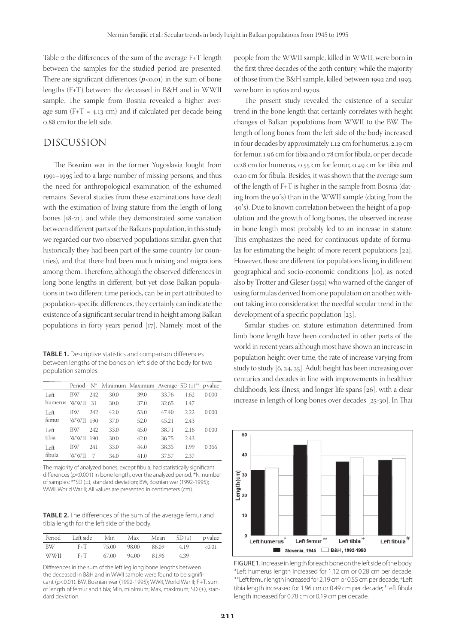Table 2 the differences of the sum of the average  $F+T$  length between the samples for the studied period are presented. There are significant differences  $(p<0.01)$  in the sum of bone lengths (F+T) between the deceased in B&H and in WWII sample. The sample from Bosnia revealed a higher average sum  $(F+T = 4.13 \text{ cm})$  and if calculated per decade being 0.88 cm for the left side.

## DISCUSSION

The Bosnian war in the former Yugoslavia fought from 1991–1995 led to a large number of missing persons, and thus the need for anthropological examination of the exhumed remains. Several studies from these examinations have dealt with the estimation of living stature from the length of long bones [18-21], and while they demonstrated some variation between different parts of the Balkans population, in this study we regarded our two observed populations similar, given that historically they had been part of the same country (or countries), and that there had been much mixing and migrations among them. Therefore, although the observed differences in long bone lengths in different, but yet close Balkan populations in two different time periods, can be in part attributed to population-specific differences, they certainly can indicate the existence of a significant secular trend in height among Balkan populations in forty years period [17]. Namely, most of the

TABLE 1. Descriptive statistics and comparison differences between lengths of the bones on left side of the body for two population samples.

|         |             |     |      | Period N <sup>*</sup> Minimum Maximum Average SD $(\pm)^{**}$ p value |       |      |       |
|---------|-------------|-----|------|-----------------------------------------------------------------------|-------|------|-------|
| Left    | BW          | 242 | 30.0 | 39.0                                                                  | 33.76 | 1.62 | 0.000 |
| humerus | <b>WWII</b> | 31  | 30.0 | 37.0                                                                  | 32.65 | 1.47 |       |
| Left    | BW          | 242 | 42.0 | 53.0                                                                  | 47.40 | 2.22 | 0.000 |
| femur   | <b>WWII</b> | 190 | 37.0 | 52.0                                                                  | 45.21 | 2.43 |       |
| Left    | <b>BW</b>   | 242 | 33.0 | 45.0                                                                  | 38.71 | 2.16 | 0.000 |
| tibia   | WWII        | 190 | 30.0 | 42.0                                                                  | 36.75 | 2.43 |       |
| Left    | BW          | 241 | 33.0 | 44.0                                                                  | 38.35 | 1.99 | 0.366 |
| fibula  | WWII        |     | 34.0 | 41.0                                                                  | 37.57 | 2.37 |       |

The majority of analyzed bones, except fibula, had statistically significant differences ( $p<0.001$ ) in bone length, over the analyzed period. \*N, number of samples; \*\*SD (±), standard deviation; BW, Bosnian war (1992-1995); WWII, World War II; All values are presented in centimeters (cm).

TABLE 2. The differences of the sum of the average femur and tibia length for the left side of the body.

| Period | Left side | Min   | Max   | Mean  | SD(1) | <i>p</i> value |
|--------|-----------|-------|-------|-------|-------|----------------|
| BW     | $F + T$   | 75.00 | 98.00 | 86.09 | 419   | < 0.01         |
| WWII   | $F + T$   | 67.00 | 94.00 | 81.96 | 4.39  |                |

Differences in the sum of the left leg long bone lengths between the deceased in B&H and in WWII sample were found to be significant (p<0.01). BW, Bosnian war (1992-1995); WWII, World War II; F+T, sum of length of femur and tibia; Min, minimum; Max, maximum; SD (±), standard deviation.

people from the WWII sample, killed in WWII, were born in the first three decades of the 20th century, while the majority of those from the B&H sample, killed between 1992 and 1993, were born in 1960s and 1970s.

The present study revealed the existence of a secular trend in the bone length that certainly correlates with height changes of Balkan populations from WWII to the BW. The length of long bones from the left side of the body increased in four decades by approximately 1.12 cm for humerus, 2.19 cm for femur, 1.96 cm for tibia and 0.78 cm for fibula, or per decade 0.28 cm for humerus, 0.55 cm for femur, 0.49 cm for tibia and 0.20 cm for fibula. Besides, it was shown that the average sum of the length of F+T is higher in the sample from Bosnia (dating from the 90's) than in the WWII sample (dating from the 40's). Due to known correlation between the height of a population and the growth of long bones, the observed increase in bone length most probably led to an increase in stature. This emphasizes the need for continuous update of formulas for estimating the height of more recent populations [22]. However, these are different for populations living in different geographical and socio-economic conditions [10], as noted also by Trotter and Gleser (1951) who warned of the danger of using formulas derived from one population on another, without taking into consideration the needful secular trend in the development of a specific population  $[23]$ .

Similar studies on stature estimation determined from limb bone length have been conducted in other parts of the world in recent years although most have shown an increase in population height over time, the rate of increase varying from study to study [6, 24, 25]. Adult height has been increasing over centuries and decades in line with improvements in healthier childhoods, less illness, and longer life spans [26], with a clear increase in length of long bones over decades [25-30]. In Thai



FIGURE 1. Increase in length for each bone on the left side of the body. \*Left humerus length increased for 1.12 cm or 0.28 cm per decade; \*\*Left femur length increased for 2.19 cm or 0.55 cm per decade; +Left tibia length increased for 1.96 cm or 0.49 cm per decade; #Left fibula length increased for 0.78 cm or 0.19 cm per decade.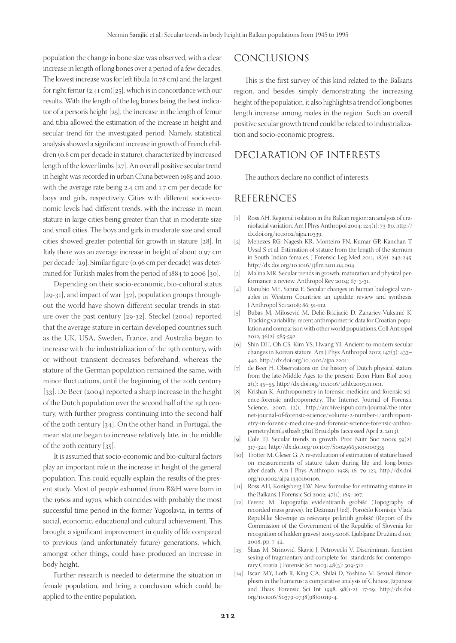population the change in bone size was observed, with a clear increase in length of long bones over a period of a few decades. The lowest increase was for left fibula ( $o.78$  cm) and the largest for right femur (2.41 cm)[25], which is in concordance with our results. With the length of the leg bones being the best indicator of a person's height [25], the increase in the length of femur and tibia allowed the estimation of the increase in height and secular trend for the investigated period. Namely, statistical analysis showed a significant increase in growth of French children (0.8 cm per decade in stature), characterized by increased length of the lower limbs [27]. An overall positive secular trend in height was recorded in urban China between 1985 and 2010, with the average rate being 2.4 cm and 1.7 cm per decade for boys and girls, respectively. Cities with different socio-economic levels had different trends, with the increase in mean stature in large cities being greater than that in moderate size and small cities. The boys and girls in moderate size and small cities showed greater potential for growth in stature [28]. In Italy there was an average increase in height of about 0.97 cm per decade [29]. Similar figure (0.96 cm per decade) was determined for Turkish males from the period of 1884 to 2006 [30].

Depending on their socio-economic, bio-cultural status [29-31], and impact of war [32], population groups throughout the world have shown different secular trends in stature over the past century [29-32]. Steckel (2004) reported that the average stature in certain developed countries such as the UK, USA, Sweden, France, and Australia began to increase with the industrialization of the 19th century, with or without transient decreases beforehand, whereas the stature of the German population remained the same, with minor fluctuations, until the beginning of the 20th century [33]. De Beer (2004) reported a sharp increase in the height of the Dutch population over the second half of the 19th century, with further progress continuing into the second half of the 20th century [34]. On the other hand, in Portugal, the mean stature began to increase relatively late, in the middle of the 20th century [35].

It is assumed that socio-economic and bio-cultural factors play an important role in the increase in height of the general population. This could equally explain the results of the present study. Most of people exhumed from B&H were born in the 1960s and 1970s, which coincides with probably the most successful time period in the former Yugoslavia, in terms of social, economic, educational and cultural achievement. This brought a significant improvement in quality of life compared to previous (and unfortunately future) generations, which, amongst other things, could have produced an increase in body height.

Further research is needed to determine the situation in female population, and bring a conclusion which could be applied to the entire population.

## CONCLUSIONS

This is the first survey of this kind related to the Balkans region, and besides simply demonstrating the increasing height of the population, it also highlights a trend of long bones length increase among males in the region. Such an overall positive secular growth trend could be related to industrialization and socio-economic progress.

# DECLARATION OF INTERESTS

The authors declare no conflict of interests.

## REFERENCES

- [1] Ross AH. Regional isolation in the Balkan region: an analysis of craniofacial variation. Am J Phys Anthropol 2004; 124(1): 73-80. http:// dx.doi.org/10.1002/ajpa.10339.
- [2] Menezes RG, Nagesh KR, Monteiro FN, Kumar GP, Kanchan T, Uysal S et al. Estimation of stature from the length of the sternum in South Indian females. J Forensic Leg Med 2011; 18(6): 242-245. http://dx.doi.org/10.1016/j.jflm.2011.04.004.
- [3] Malina MR. Secular trends in growth, maturation and physical performance: a review. Anthropol Rev 2004; 67: 3-31.
- [4] Danubio ME, Sanna E. Secular changes in human biological variables in Western Countries: an upadate review and synthesis. J Anthropol Sci 2008; 86: 91-112.
- [5] Bubas M, Milosević M, Delić-Brkljacić D, Zahariev-Vuksinić K. Tracking variability: recent anthropometric data for Croatian population and comparison with other world populations. Coll Antropol 2012; 36(2): 585-592.
- [6] Shin DH, Oh CS, Kim YS, Hwang YI. Ancient-to-modern secular changes in Korean stature. Am J Phys Anthropol 2012; 147(3): 433– 442. http://dx.doi.org/10.1002/ajpa.22011.
- [7] de Beer H. Observations on the history of Dutch physical stature from the late-Middle Ages to the present. Econ Hum Biol 2004; 2(1): 45–55. http://dx.doi.org/10.1016/j.ehb.2003.11.001.
- [8] Krishan K. Anthropometry in forensic medicine and forensic science-forensic anthropometry. The Internet Journal of Forensic Science, 2007; (2)1. http://archive.ispub.com/journal/the-internet-journal-of-forensic-science/volume-2-number-1/anthropometry-in-forensic-medicine-and-forensic-science-forensic-anthropometry.html#sthash.5BuTBr1u.dpbs (accessed April 2, 2013).
- [9] Cole TJ. Secular trends in growth. Proc Nutr Soc 2000; 59(2): 317-324. http://dx.doi.org/10.1017/S0029665100000355
- [10] Trotter M, Gleser G. A re-evaluation of estimation of stature based on measurements of stature taken during life and long-bones after death. Am J Phys Anthropo. 1958; 16: 79-123. http://dx.doi. org/10.1002/ajpa.1330160106.
- [11] Ross AH, Konigsberg LW. New formulae for estimating stature in the Balkans. J Forensic Sci 2002; 47(1): 165–167.
- [12] Ferenc M. Topografija evidentiranih grobišč (Topography of recorded mass graves). In; Dežman J (ed). Poročilo Komisije Vlade Republike Slovenije za reševanje prikritih grobišč (Report of the Commission of the Government of the Republic of Slovenia for recognition of hidden graves) 2005-2008. Ljubljana: Družina d.o.o.; 2008, pp. 7-42.
- [13] Šlaus M, Strinović, Škavić J, Petrovečki V. Discriminant function sexing of fragmentary and complete for: standards for contemporary Croatia. J Forensic Sci 2003; 48(3): 509-512.
- [14] Iscan MY, Loth R, King CA, Shilai D, Yoshino M. Sexual dimorphism in the humerus: a comparative analysis of Chinese, Japanese and Thais. Forensic Sci Int 1998; 98(1-2): 17-29. http://dx.doi. org/10.1016/S0379-0738(98)00119-4.